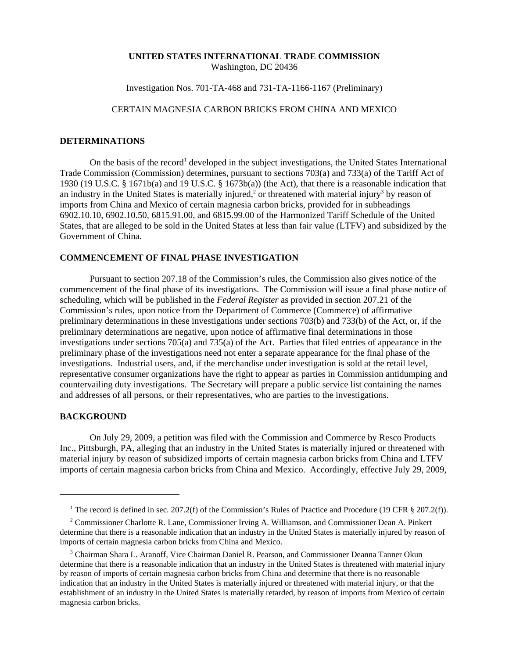#### **UNITED STATES INTERNATIONAL TRADE COMMISSION** Washington, DC 20436

## Investigation Nos. 701-TA-468 and 731-TA-1166-1167 (Preliminary)

# CERTAIN MAGNESIA CARBON BRICKS FROM CHINA AND MEXICO

#### **DETERMINATIONS**

On the basis of the record<sup>1</sup> developed in the subject investigations, the United States International Trade Commission (Commission) determines, pursuant to sections 703(a) and 733(a) of the Tariff Act of 1930 (19 U.S.C. § 1671b(a) and 19 U.S.C. § 1673b(a)) (the Act), that there is a reasonable indication that an industry in the United States is materially injured,<sup>2</sup> or threatened with material injury<sup>3</sup> by reason of imports from China and Mexico of certain magnesia carbon bricks, provided for in subheadings 6902.10.10, 6902.10.50, 6815.91.00, and 6815.99.00 of the Harmonized Tariff Schedule of the United States, that are alleged to be sold in the United States at less than fair value (LTFV) and subsidized by the Government of China.

## **COMMENCEMENT OF FINAL PHASE INVESTIGATION**

Pursuant to section 207.18 of the Commission's rules, the Commission also gives notice of the commencement of the final phase of its investigations. The Commission will issue a final phase notice of scheduling, which will be published in the *Federal Register* as provided in section 207.21 of the Commission's rules, upon notice from the Department of Commerce (Commerce) of affirmative preliminary determinations in these investigations under sections 703(b) and 733(b) of the Act, or, if the preliminary determinations are negative, upon notice of affirmative final determinations in those investigations under sections 705(a) and 735(a) of the Act. Parties that filed entries of appearance in the preliminary phase of the investigations need not enter a separate appearance for the final phase of the investigations. Industrial users, and, if the merchandise under investigation is sold at the retail level, representative consumer organizations have the right to appear as parties in Commission antidumping and countervailing duty investigations. The Secretary will prepare a public service list containing the names and addresses of all persons, or their representatives, who are parties to the investigations.

### **BACKGROUND**

On July 29, 2009, a petition was filed with the Commission and Commerce by Resco Products Inc., Pittsburgh, PA, alleging that an industry in the United States is materially injured or threatened with material injury by reason of subsidized imports of certain magnesia carbon bricks from China and LTFV imports of certain magnesia carbon bricks from China and Mexico. Accordingly, effective July 29, 2009,

<sup>&</sup>lt;sup>1</sup> The record is defined in sec. 207.2(f) of the Commission's Rules of Practice and Procedure (19 CFR § 207.2(f)).

<sup>&</sup>lt;sup>2</sup> Commissioner Charlotte R. Lane, Commissioner Irving A. Williamson, and Commissioner Dean A. Pinkert determine that there is a reasonable indication that an industry in the United States is materially injured by reason of imports of certain magnesia carbon bricks from China and Mexico.

<sup>&</sup>lt;sup>3</sup> Chairman Shara L. Aranoff, Vice Chairman Daniel R. Pearson, and Commissioner Deanna Tanner Okun determine that there is a reasonable indication that an industry in the United States is threatened with material injury by reason of imports of certain magnesia carbon bricks from China and determine that there is no reasonable indication that an industry in the United States is materially injured or threatened with material injury, or that the establishment of an industry in the United States is materially retarded, by reason of imports from Mexico of certain magnesia carbon bricks.